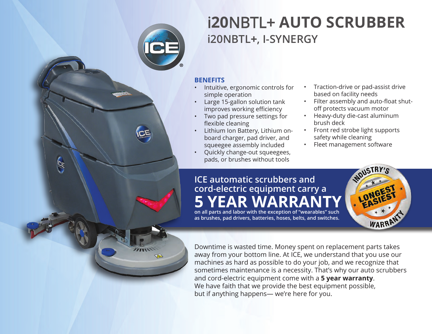

**CE** 

# i**20**NBTL+ **AUTO SCRUBBER i20NBTL+, I-SYNERGY**

#### **BENEFITS**

- Intuitive, ergonomic controls for simple operation
- Large 15-gallon solution tank improves working efficiency
- Two pad pressure settings for flexible cleaning
- Lithium Ion Battery, Lithium onboard charger, pad driver, and squeegee assembly included
- Quickly change-out squeegees, pads, or brushes without tools
- Traction-drive or pad-assist drive based on facility needs
- Filter assembly and auto-float shutoff protects vacuum motor
- Heavy-duty die-cast aluminum brush deck
- Front red strobe light supports safety while cleaning

WDUSTRY'S

WARRAN

• Fleet management software

### **ICE automatic scrubbers and cord-electric equipment carry a 5 YEAR WARRANTY**

**on all parts and labor with the exception of "wearables" such as brushes, pad drivers, batteries, hoses, belts, and switches.**

Downtime is wasted time. Money spent on replacement parts takes away from your bottom line. At ICE, we understand that you use our machines as hard as possible to do your job, and we recognize that sometimes maintenance is a necessity. That's why our auto scrubbers and cord-electric equipment come with a **5 year warranty**. We have faith that we provide the best equipment possible, but if anything happens— we're here for you.